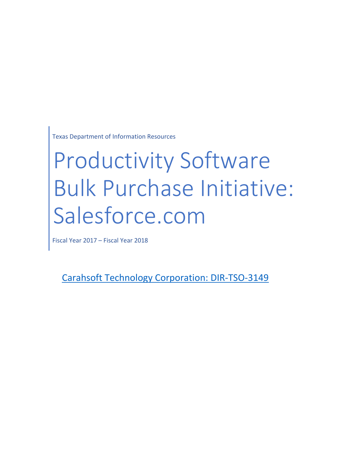Texas Department of Information Resources

# Productivity Software Bulk Purchase Initiative: Salesforce.com

Fiscal Year 2017 – Fiscal Year 2018

[Carahsoft Technology Corporation: DIR-TSO-3149](http://dir.texas.gov/View-Search/Contracts-Detail.aspx?contractnumber=DIR-TSO-3149&keyword=docuSign)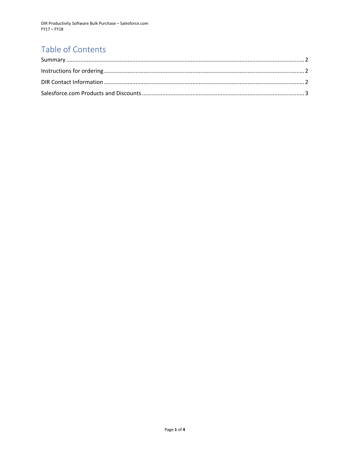## Table of Contents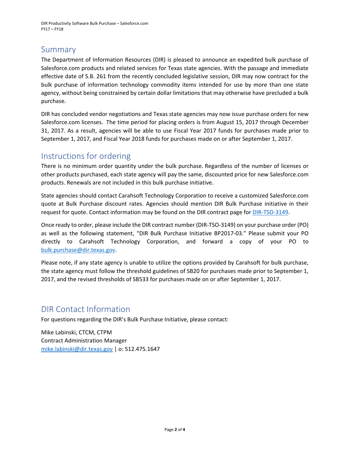DIR Productivity Software Bulk Purchase – Salesforce.com FY17 – FY18

#### <span id="page-2-0"></span>Summary

The Department of Information Resources (DIR) is pleased to announce an expedited bulk purchase of Salesforce.com products and related services for Texas state agencies. With the passage and immediate effective date of S.B. 261 from the recently concluded legislative session, DIR may now contract for the bulk purchase of information technology commodity items intended for use by more than one state agency, without being constrained by certain dollar limitations that may otherwise have precluded a bulk purchase.

DIR has concluded vendor negotiations and Texas state agencies may now issue purchase orders for new Salesforce.com licenses. The time period for placing orders is from August 15, 2017 through December 31, 2017. As a result, agencies will be able to use Fiscal Year 2017 funds for purchases made prior to September 1, 2017, and Fiscal Year 2018 funds for purchases made on or after September 1, 2017.

#### <span id="page-2-1"></span>Instructions for ordering

There is no minimum order quantity under the bulk purchase. Regardless of the number of licenses or other products purchased, each state agency will pay the same, discounted price for new Salesforce.com products. Renewals are not included in this bulk purchase initiative.

State agencies should contact Carahsoft Technology Corporation to receive a customized Salesforce.com quote at Bulk Purchase discount rates. Agencies should mention DIR Bulk Purchase initiative in their request for quote. Contact information may be found on the DIR contract page for [DIR-TSO-3149.](http://dir.texas.gov/View-Search/Contracts-Detail.aspx?contractnumber=DIR-TSO-3149&keyword=docuSign)

Once ready to order, please include the DIR contract number (DIR-TSO-3149) on your purchase order (PO) as well as the following statement, "DIR Bulk Purchase Initiative BP2017-03." Please submit your PO directly to Carahsoft Technology Corporation, and forward a copy of your PO to [bulk.purchase@dir.texas.gov.](mailto:bulk.purchase@dir.texas.gov)

Please note, if any state agency is unable to utilize the options provided by Carahsoft for bulk purchase, the state agency must follow the threshold guidelines of SB20 for purchases made prior to September 1, 2017, and the revised thresholds of SB533 for purchases made on or after September 1, 2017.

#### <span id="page-2-2"></span>DIR Contact Information

For questions regarding the DIR's Bulk Purchase Initiative, please contact:

Mike Labinski, CTCM, CTPM Contract Administration Manager [mike.labinski@dir.texas.gov](mailto:mike.labinski@dir.texas.gov) | o: 512.475.1647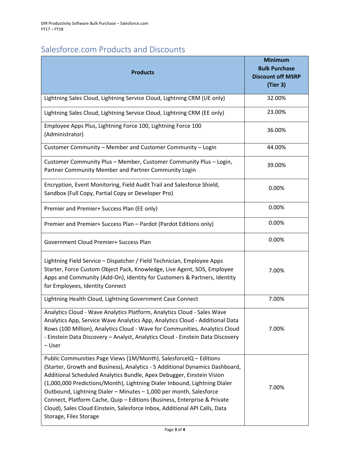### <span id="page-3-0"></span>Salesforce.com Products and Discounts

| <b>Products</b>                                                                                                                                                                                                                                                                                                                                                                                                                                                                                                                                                   | <b>Minimum</b><br><b>Bulk Purchase</b><br><b>Discount off MSRP</b><br>(Tier 3) |
|-------------------------------------------------------------------------------------------------------------------------------------------------------------------------------------------------------------------------------------------------------------------------------------------------------------------------------------------------------------------------------------------------------------------------------------------------------------------------------------------------------------------------------------------------------------------|--------------------------------------------------------------------------------|
| Lightning Sales Cloud, Lightning Service Cloud, Lightning CRM (UE only)                                                                                                                                                                                                                                                                                                                                                                                                                                                                                           | 32.00%                                                                         |
| Lightning Sales Cloud, Lightning Service Cloud, Lightning CRM (EE only)                                                                                                                                                                                                                                                                                                                                                                                                                                                                                           | 23.00%                                                                         |
| Employee Apps Plus, Lightning Force 100, Lightning Force 100<br>(Administrator)                                                                                                                                                                                                                                                                                                                                                                                                                                                                                   | 36.00%                                                                         |
| Customer Community - Member and Customer Community - Login                                                                                                                                                                                                                                                                                                                                                                                                                                                                                                        | 44.00%                                                                         |
| Customer Community Plus - Member, Customer Community Plus - Login,<br>Partner Community Member and Partner Community Login                                                                                                                                                                                                                                                                                                                                                                                                                                        | 39.00%                                                                         |
| Encryption, Event Monitoring, Field Audit Trail and Salesforce Shield,<br>Sandbox (Full Copy, Partial Copy or Developer Pro)                                                                                                                                                                                                                                                                                                                                                                                                                                      | 0.00%                                                                          |
| Premier and Premier+ Success Plan (EE only)                                                                                                                                                                                                                                                                                                                                                                                                                                                                                                                       | 0.00%                                                                          |
| Premier and Premier+ Success Plan - Pardot (Pardot Editions only)                                                                                                                                                                                                                                                                                                                                                                                                                                                                                                 | 0.00%                                                                          |
| Government Cloud Premier+ Success Plan                                                                                                                                                                                                                                                                                                                                                                                                                                                                                                                            | 0.00%                                                                          |
| Lightning Field Service - Dispatcher / Field Technician, Employee Apps<br>Starter, Force Custom Object Pack, Knowledge, Live Agent, SOS, Employee<br>Apps and Community (Add-On), Identity for Customers & Partners, Identity<br>for Employees, Identity Connect                                                                                                                                                                                                                                                                                                  | 7.00%                                                                          |
| Lightning Health Cloud, Lightning Government Case Connect                                                                                                                                                                                                                                                                                                                                                                                                                                                                                                         | 7.00%                                                                          |
| Analytics Cloud - Wave Analytics Platform, Analytics Cloud - Sales Wave<br>Analytics App, Service Wave Analytics App, Analytics Cloud - Additional Data<br>Rows (100 Million), Analytics Cloud - Wave for Communities, Analytics Cloud<br>- Einstein Data Discovery - Analyst, Analytics Cloud - Einstein Data Discovery<br>- User                                                                                                                                                                                                                                | 7.00%                                                                          |
| Public Communities Page Views (1M/Month), SalesforceIQ - Editions<br>(Starter, Growth and Business), Analytics - 5 Additional Dynamics Dashboard,<br>Additional Scheduled Analytics Bundle, Apex Debugger, Einstein Vision<br>(1,000,000 Predictions/Month), Lightning Dialer Inbound, Lightning Dialer<br>Outbound, Lightning Dialer - Minutes - 1,000 per month, Salesforce<br>Connect, Platform Cache, Quip - Editions (Business, Enterprise & Private<br>Cloud), Sales Cloud Einstein, Salesforce Inbox, Additional API Calls, Data<br>Storage, Files Storage | 7.00%                                                                          |